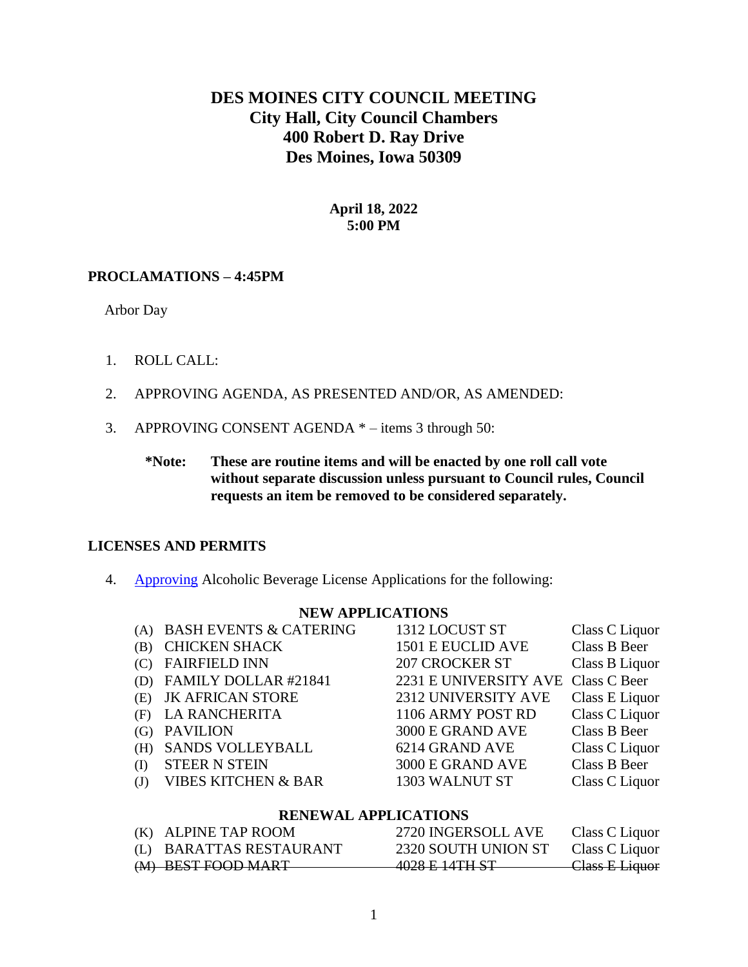# **DES MOINES CITY COUNCIL MEETING City Hall, City Council Chambers 400 Robert D. Ray Drive Des Moines, Iowa 50309**

### **April 18, 2022 5:00 PM**

### **PROCLAMATIONS – 4:45PM**

Arbor Day

- 1. ROLL CALL:
- 2. APPROVING AGENDA, AS PRESENTED AND/OR, AS AMENDED:
- 3. APPROVING CONSENT AGENDA \* items 3 through 50:
	- **\*Note: These are routine items and will be enacted by one roll call vote without separate discussion unless pursuant to Council rules, Council requests an item be removed to be considered separately.**

### **LICENSES AND PERMITS**

4. [Approving](http://www.dmgov.org/government/CityCouncil/Resolutions/20220418/4.pdf) Alcoholic Beverage License Applications for the following:

#### **NEW APPLICATIONS**

|     | (A) BASH EVENTS & CATERING     | 1312 LOCUST ST                     | Class C Liquor |
|-----|--------------------------------|------------------------------------|----------------|
| (B) | <b>CHICKEN SHACK</b>           | 1501 E EUCLID AVE                  | Class B Beer   |
|     | <b>FAIRFIELD INN</b>           | <b>207 CROCKER ST</b>              | Class B Liquor |
|     | (D) FAMILY DOLLAR #21841       | 2231 E UNIVERSITY AVE Class C Beer |                |
| (E) | <b>JK AFRICAN STORE</b>        | 2312 UNIVERSITY AVE                | Class E Liquor |
| (F) | <b>LA RANCHERITA</b>           | 1106 ARMY POST RD                  | Class C Liquor |
|     | <b>PAVILION</b>                | 3000 E GRAND AVE                   | Class B Beer   |
| (H) | SANDS VOLLEYBALL               | 6214 GRAND AVE                     | Class C Liquor |
| (I) | <b>STEER N STEIN</b>           | 3000 E GRAND AVE                   | Class B Beer   |
| (J) | <b>VIBES KITCHEN &amp; BAR</b> | 1303 WALNUT ST                     | Class C Liquor |
|     |                                |                                    |                |

### **RENEWAL APPLICATIONS**

| (K) ALPINE TAP ROOM     | 2720 INGERSOLL AVE                         | Class C Liquor            |
|-------------------------|--------------------------------------------|---------------------------|
| (L) BARATTAS RESTAURANT | 2320 SOUTH UNION ST                        | Class C Liquor            |
| (M) BEST FOOD MART      | 1028 E 14TH ST<br>7020 <del>L PHILOT</del> | <del>Class E Liquor</del> |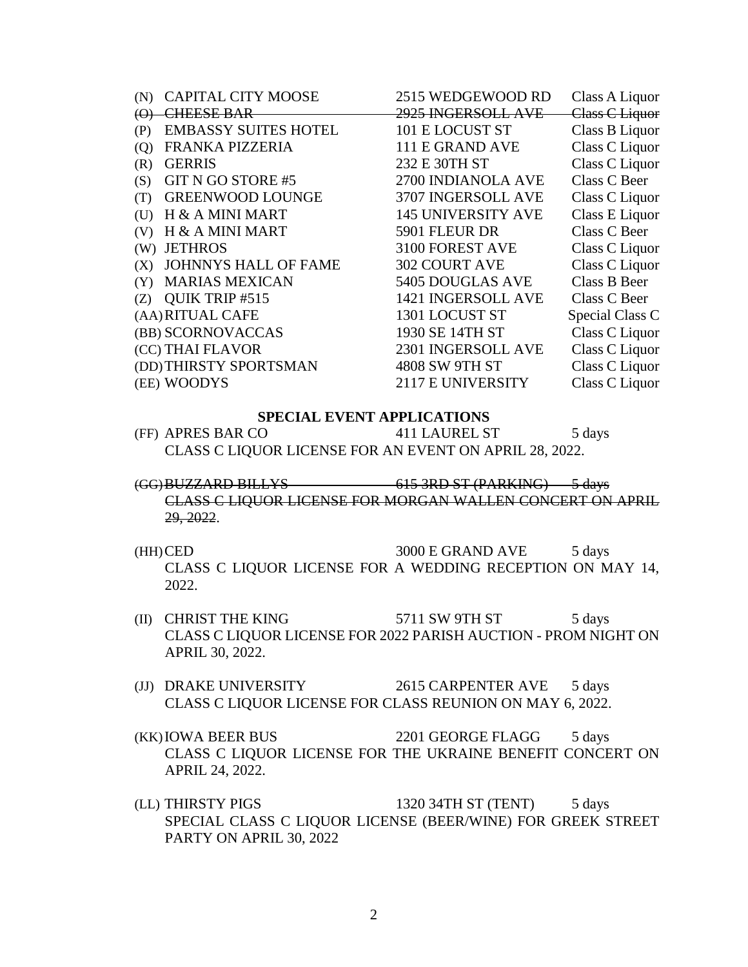| (N)      | <b>CAPITAL CITY MOOSE</b>   | 2515 WEDGEWOOD RD         | Class A Liquor  |
|----------|-----------------------------|---------------------------|-----------------|
| $\Theta$ | <b>CHEESE BAR</b>           | 2925 INGERSOLL AVE        | Class C Liquor  |
| (P)      | <b>EMBASSY SUITES HOTEL</b> | 101 E LOCUST ST           | Class B Liquor  |
| (Q)      | FRANKA PIZZERIA             | 111 E GRAND AVE           | Class C Liquor  |
| (R)      | <b>GERRIS</b>               | 232 E 30TH ST             | Class C Liquor  |
| (S)      | GIT N GO STORE #5           | 2700 INDIANOLA AVE        | Class C Beer    |
| (T)      | <b>GREENWOOD LOUNGE</b>     | 3707 INGERSOLL AVE        | Class C Liquor  |
| (U)      | H & A MINI MART             | <b>145 UNIVERSITY AVE</b> | Class E Liquor  |
| (V)      | H & A MINI MART             | 5901 FLEUR DR             | Class C Beer    |
| (W)      | <b>JETHROS</b>              | 3100 FOREST AVE           | Class C Liquor  |
| (X)      | JOHNNYS HALL OF FAME        | <b>302 COURT AVE</b>      | Class C Liquor  |
| (Y)      | <b>MARIAS MEXICAN</b>       | 5405 DOUGLAS AVE          | Class B Beer    |
| (Z)      | QUIK TRIP #515              | 1421 INGERSOLL AVE        | Class C Beer    |
|          | (AA) RITUAL CAFE            | 1301 LOCUST ST            | Special Class C |
|          | (BB) SCORNOVACCAS           | 1930 SE 14TH ST           | Class C Liquor  |
|          | (CC) THAI FLAVOR            | 2301 INGERSOLL AVE        | Class C Liquor  |
|          | (DD) THIRSTY SPORTSMAN      | 4808 SW 9TH ST            | Class C Liquor  |
|          | (EE) WOODYS                 | 2117 E UNIVERSITY         | Class C Liquor  |

#### **SPECIAL EVENT APPLICATIONS**

- (FF) APRES BAR CO 411 LAUREL ST 5 days CLASS C LIQUOR LICENSE FOR AN EVENT ON APRIL 28, 2022.
- (GG)BUZZARD BILLYS 615 3RD ST (PARKING) 5 days CLASS C LIQUOR LICENSE FOR MORGAN WALLEN CONCERT ON APRIL 29, 2022.
- $(HH)$ CED 3000 E GRAND AVE 5 days CLASS C LIQUOR LICENSE FOR A WEDDING RECEPTION ON MAY 14, 2022.
- (II) CHRIST THE KING  $5711$  SW 9TH ST  $5$  days CLASS C LIQUOR LICENSE FOR 2022 PARISH AUCTION - PROM NIGHT ON APRIL 30, 2022.
- (JJ) DRAKE UNIVERSITY 2615 CARPENTER AVE 5 days CLASS C LIQUOR LICENSE FOR CLASS REUNION ON MAY 6, 2022.
- (KK)IOWA BEER BUS 2201 GEORGE FLAGG 5 days CLASS C LIQUOR LICENSE FOR THE UKRAINE BENEFIT CONCERT ON APRIL 24, 2022.
- (LL) THIRSTY PIGS 1320 34TH ST (TENT) 5 days SPECIAL CLASS C LIQUOR LICENSE (BEER/WINE) FOR GREEK STREET PARTY ON APRIL 30, 2022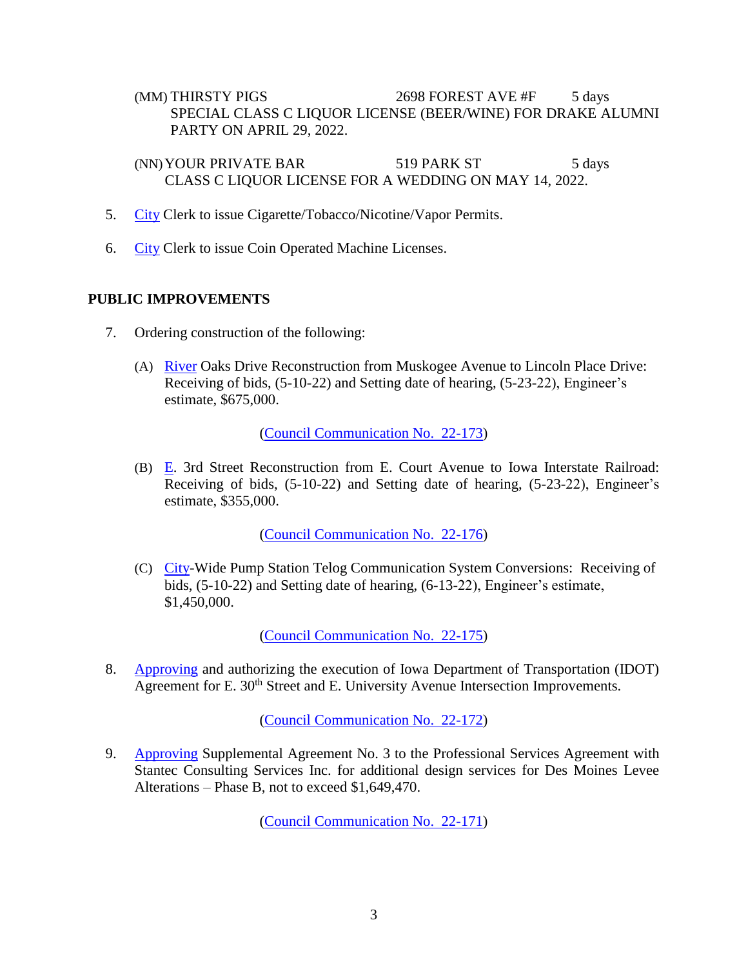(MM) THIRSTY PIGS 2698 FOREST AVE #F 5 days SPECIAL CLASS C LIQUOR LICENSE (BEER/WINE) FOR DRAKE ALUMNI PARTY ON APRIL 29, 2022.

(NN) YOUR PRIVATE BAR 519 PARK ST 5 days CLASS C LIQUOR LICENSE FOR A WEDDING ON MAY 14, 2022.

- 5. [City](http://www.dmgov.org/government/CityCouncil/Resolutions/20220418/5.pdf) Clerk to issue Cigarette/Tobacco/Nicotine/Vapor Permits.
- 6. [City](http://www.dmgov.org/government/CityCouncil/Resolutions/20220418/6.pdf) Clerk to issue Coin Operated Machine Licenses.

### **PUBLIC IMPROVEMENTS**

- 7. Ordering construction of the following:
	- (A) [River](http://www.dmgov.org/government/CityCouncil/Resolutions/20220418/7a.pdf) Oaks Drive Reconstruction from Muskogee Avenue to Lincoln Place Drive: Receiving of bids, (5-10-22) and Setting date of hearing, (5-23-22), Engineer's estimate, \$675,000.

[\(Council Communication No. 22-173\)](http://www.dmgov.org/Government/CityCouncil/Communications/22-173.pdf)

(B) [E.](http://www.dmgov.org/government/CityCouncil/Resolutions/20220418/7b.pdf) 3rd Street Reconstruction from E. Court Avenue to Iowa Interstate Railroad: Receiving of bids, (5-10-22) and Setting date of hearing, (5-23-22), Engineer's estimate, \$355,000.

[\(Council Communication No. 22-176\)](http://www.dmgov.org/Government/CityCouncil/Communications/22-176.pdf)

(C) [City-](http://www.dmgov.org/government/CityCouncil/Resolutions/20220418/7c.pdf)Wide Pump Station Telog Communication System Conversions: Receiving of bids, (5-10-22) and Setting date of hearing, (6-13-22), Engineer's estimate, \$1,450,000.

[\(Council Communication No. 22-175\)](http://www.dmgov.org/Government/CityCouncil/Communications/22-175.pdf)

8. [Approving](http://www.dmgov.org/government/CityCouncil/Resolutions/20220418/8.pdf) and authorizing the execution of Iowa Department of Transportation (IDOT) Agreement for E. 30<sup>th</sup> Street and E. University Avenue Intersection Improvements.

[\(Council Communication No. 22-172\)](http://www.dmgov.org/Government/CityCouncil/Communications/22-172.pdf)

9. [Approving](http://www.dmgov.org/government/CityCouncil/Resolutions/20220418/9.pdf) Supplemental Agreement No. 3 to the Professional Services Agreement with Stantec Consulting Services Inc. for additional design services for Des Moines Levee Alterations – Phase B, not to exceed \$1,649,470.

[\(Council Communication No. 22-171\)](http://www.dmgov.org/Government/CityCouncil/Communications/22-171.pdf)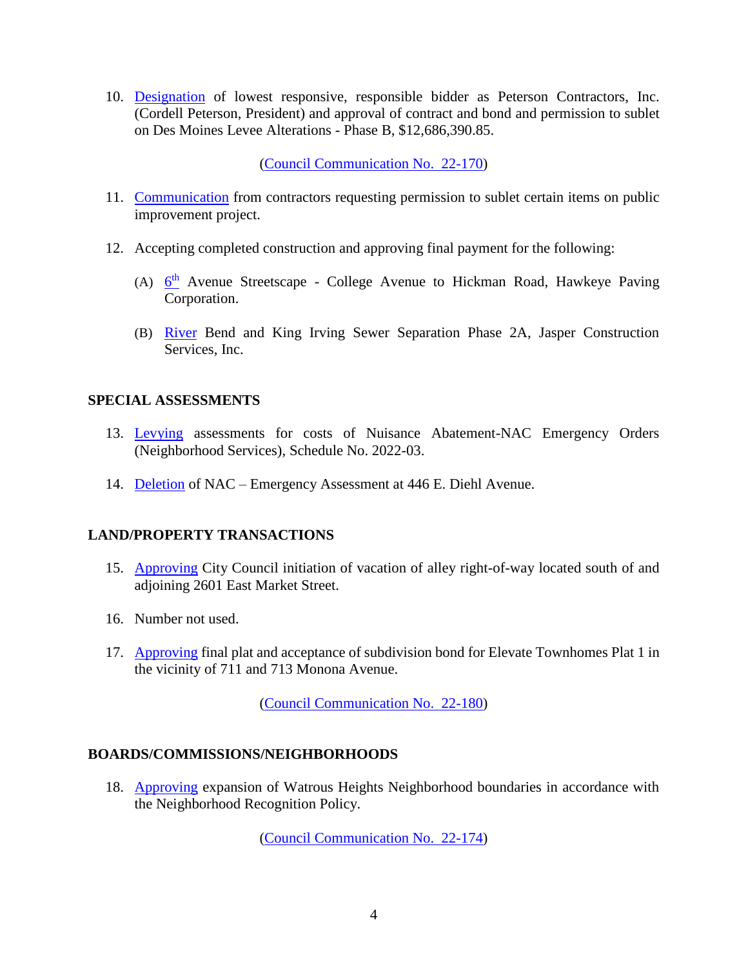10. [Designation](http://www.dmgov.org/government/CityCouncil/Resolutions/20220418/10.pdf) of lowest responsive, responsible bidder as Peterson Contractors, Inc. (Cordell Peterson, President) and approval of contract and bond and permission to sublet on Des Moines Levee Alterations - Phase B, \$12,686,390.85.

[\(Council Communication No. 22-170\)](http://www.dmgov.org/Government/CityCouncil/Communications/22-170.pdf)

- 11. [Communication](http://www.dmgov.org/government/CityCouncil/Resolutions/20220418/11.pdf) from contractors requesting permission to sublet certain items on public improvement project.
- 12. Accepting completed construction and approving final payment for the following:
	- (A)  $6<sup>th</sup>$  $6<sup>th</sup>$  Avenue Streetscape College Avenue to Hickman Road, Hawkeye Paving Corporation.
	- (B) [River](http://www.dmgov.org/government/CityCouncil/Resolutions/20220418/12b.pdf) Bend and King Irving Sewer Separation Phase 2A, Jasper Construction Services, Inc.

### **SPECIAL ASSESSMENTS**

- 13. [Levying](http://www.dmgov.org/government/CityCouncil/Resolutions/20220418/13.pdf) assessments for costs of Nuisance Abatement-NAC Emergency Orders (Neighborhood Services), Schedule No. 2022-03.
- 14. [Deletion](http://www.dmgov.org/government/CityCouncil/Resolutions/20220418/14.pdf) of NAC Emergency Assessment at 446 E. Diehl Avenue.

### **LAND/PROPERTY TRANSACTIONS**

- 15. [Approving](http://www.dmgov.org/government/CityCouncil/Resolutions/20220418/15.pdf) City Council initiation of vacation of alley right-of-way located south of and adjoining 2601 East Market Street.
- 16. Number not used.
- 17. [Approving](http://www.dmgov.org/government/CityCouncil/Resolutions/20220418/17.pdf) final plat and acceptance of subdivision bond for Elevate Townhomes Plat 1 in the vicinity of 711 and 713 Monona Avenue.

[\(Council Communication No. 22-180\)](http://www.dmgov.org/Government/CityCouncil/Communications/22-180.pdf)

### **BOARDS/COMMISSIONS/NEIGHBORHOODS**

18. [Approving](http://www.dmgov.org/government/CityCouncil/Resolutions/20220418/18.pdf) expansion of Watrous Heights Neighborhood boundaries in accordance with the Neighborhood Recognition Policy.

[\(Council Communication No. 22-174\)](http://www.dmgov.org/Government/CityCouncil/Communications/22-174.pdf)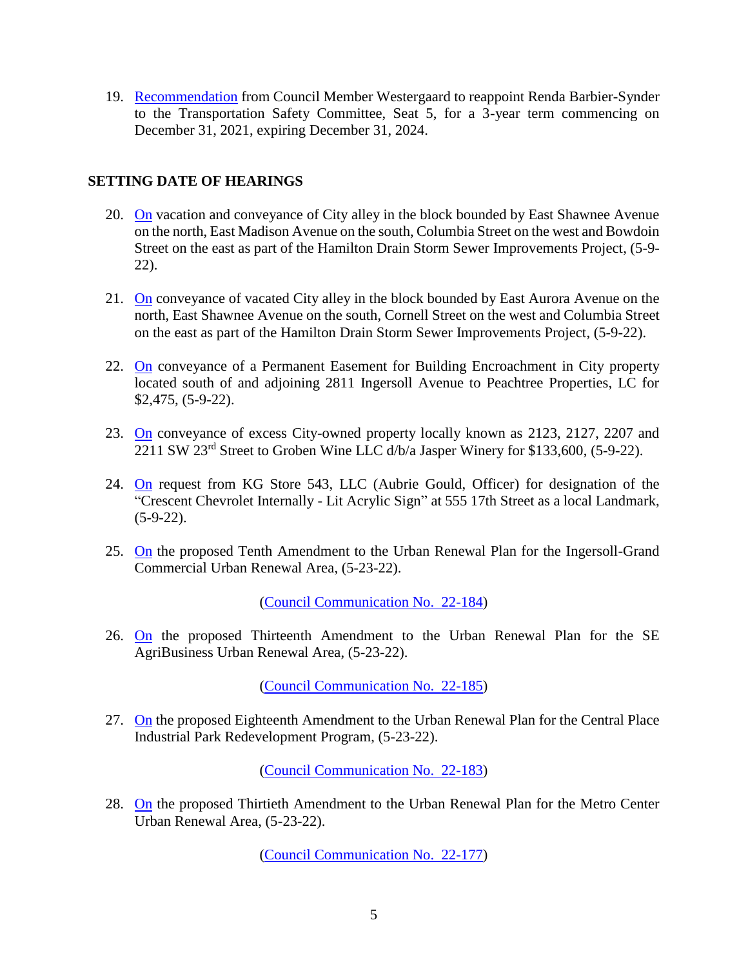19. [Recommendation](http://www.dmgov.org/government/CityCouncil/Resolutions/20220418/19.pdf) from Council Member Westergaard to reappoint Renda Barbier-Synder to the Transportation Safety Committee, Seat 5, for a 3-year term commencing on December 31, 2021, expiring December 31, 2024.

### **SETTING DATE OF HEARINGS**

- 20. [On](http://www.dmgov.org/government/CityCouncil/Resolutions/20220418/20.pdf) vacation and conveyance of City alley in the block bounded by East Shawnee Avenue on the north, East Madison Avenue on the south, Columbia Street on the west and Bowdoin Street on the east as part of the Hamilton Drain Storm Sewer Improvements Project, (5-9- 22).
- 21. [On](http://www.dmgov.org/government/CityCouncil/Resolutions/20220418/21.pdf) conveyance of vacated City alley in the block bounded by East Aurora Avenue on the north, East Shawnee Avenue on the south, Cornell Street on the west and Columbia Street on the east as part of the Hamilton Drain Storm Sewer Improvements Project, (5-9-22).
- 22. [On](http://www.dmgov.org/government/CityCouncil/Resolutions/20220418/22.pdf) conveyance of a Permanent Easement for Building Encroachment in City property located south of and adjoining 2811 Ingersoll Avenue to Peachtree Properties, LC for \$2,475, (5-9-22).
- 23. [On](http://www.dmgov.org/government/CityCouncil/Resolutions/20220418/23.pdf) conveyance of excess City-owned property locally known as 2123, 2127, 2207 and 2211 SW 23rd Street to Groben Wine LLC d/b/a Jasper Winery for \$133,600, (5-9-22).
- 24. [On](http://www.dmgov.org/government/CityCouncil/Resolutions/20220418/24.pdf) request from KG Store 543, LLC (Aubrie Gould, Officer) for designation of the "Crescent Chevrolet Internally - Lit Acrylic Sign" at 555 17th Street as a local Landmark,  $(5-9-22)$ .
- 25. [On](http://www.dmgov.org/government/CityCouncil/Resolutions/20220418/25.pdf) the proposed Tenth Amendment to the Urban Renewal Plan for the Ingersoll-Grand Commercial Urban Renewal Area, (5-23-22).

[\(Council Communication No. 22-184\)](http://www.dmgov.org/Government/CityCouncil/Communications/22-184.pdf)

26. [On](http://www.dmgov.org/government/CityCouncil/Resolutions/20220418/26.pdf) the proposed Thirteenth Amendment to the Urban Renewal Plan for the SE AgriBusiness Urban Renewal Area, (5-23-22).

[\(Council Communication No. 22-185\)](http://www.dmgov.org/Government/CityCouncil/Communications/22-185.pdf)

27. [On](http://www.dmgov.org/government/CityCouncil/Resolutions/20220418/27.pdf) the proposed Eighteenth Amendment to the Urban Renewal Plan for the Central Place Industrial Park Redevelopment Program, (5-23-22).

[\(Council Communication No. 22-183\)](http://www.dmgov.org/Government/CityCouncil/Communications/22-183.pdf)

28. [On](http://www.dmgov.org/government/CityCouncil/Resolutions/20220418/28.pdf) the proposed Thirtieth Amendment to the Urban Renewal Plan for the Metro Center Urban Renewal Area, (5-23-22).

[\(Council Communication No. 22-177\)](http://www.dmgov.org/Government/CityCouncil/Communications/22-177.pdf)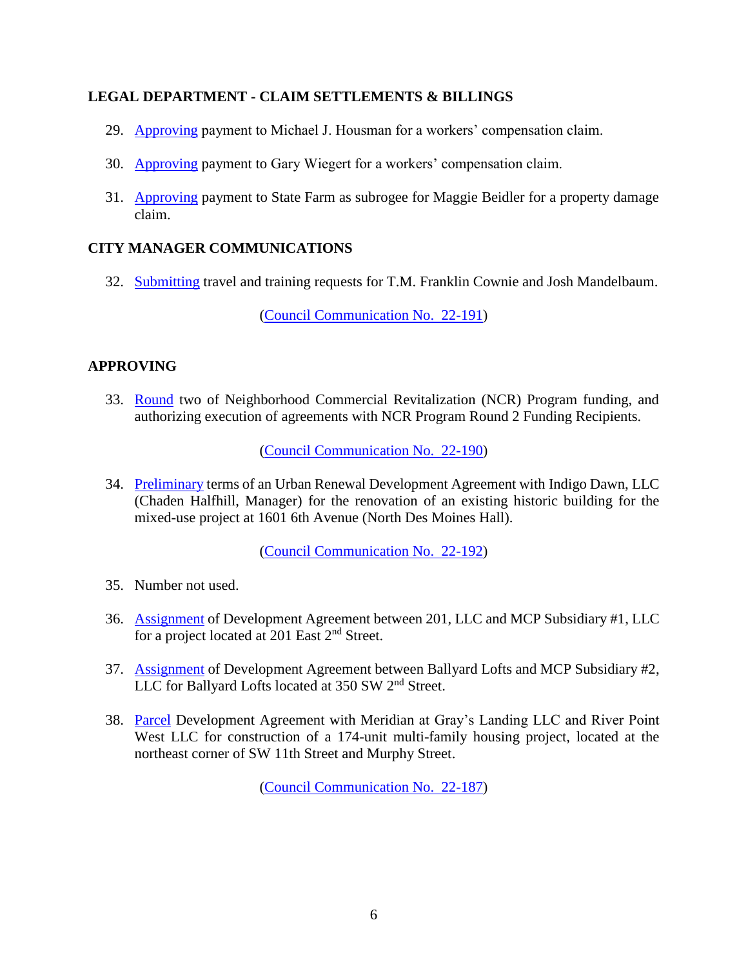### **LEGAL DEPARTMENT - CLAIM SETTLEMENTS & BILLINGS**

- 29. [Approving](http://www.dmgov.org/government/CityCouncil/Resolutions/20220418/29.pdf) payment to Michael J. Housman for a workers' compensation claim.
- 30. [Approving](http://www.dmgov.org/government/CityCouncil/Resolutions/20220418/30.pdf) payment to Gary Wiegert for a workers' compensation claim.
- 31. [Approving](http://www.dmgov.org/government/CityCouncil/Resolutions/20220418/31.pdf) payment to State Farm as subrogee for Maggie Beidler for a property damage claim.

### **CITY MANAGER COMMUNICATIONS**

32. [Submitting](http://www.dmgov.org/government/CityCouncil/Resolutions/20220418/32.pdf) travel and training requests for T.M. Franklin Cownie and Josh Mandelbaum.

[\(Council Communication No. 22-191\)](http://www.dmgov.org/Government/CityCouncil/Communications/22-191.pdf)

## **APPROVING**

33. [Round](http://www.dmgov.org/government/CityCouncil/Resolutions/20220418/33.pdf) two of Neighborhood Commercial Revitalization (NCR) Program funding, and authorizing execution of agreements with NCR Program Round 2 Funding Recipients.

[\(Council Communication No. 22-190\)](http://www.dmgov.org/Government/CityCouncil/Communications/22-190.pdf)

34. [Preliminary](http://www.dmgov.org/government/CityCouncil/Resolutions/20220418/34.pdf) terms of an Urban Renewal Development Agreement with Indigo Dawn, LLC (Chaden Halfhill, Manager) for the renovation of an existing historic building for the mixed-use project at 1601 6th Avenue (North Des Moines Hall).

[\(Council Communication No. 22-192\)](http://www.dmgov.org/Government/CityCouncil/Communications/22-192.pdf)

- 35. Number not used.
- 36. [Assignment](http://www.dmgov.org/government/CityCouncil/Resolutions/20220418/36.pdf) of Development Agreement between 201, LLC and MCP Subsidiary #1, LLC for a project located at 201 East 2nd Street.
- 37. [Assignment](http://www.dmgov.org/government/CityCouncil/Resolutions/20220418/37.pdf) of Development Agreement between Ballyard Lofts and MCP Subsidiary #2, LLC for Ballyard Lofts located at 350 SW 2<sup>nd</sup> Street.
- 38. [Parcel](http://www.dmgov.org/government/CityCouncil/Resolutions/20220418/38.pdf) Development Agreement with Meridian at Gray's Landing LLC and River Point West LLC for construction of a 174-unit multi-family housing project, located at the northeast corner of SW 11th Street and Murphy Street.

[\(Council Communication No. 22-187\)](http://www.dmgov.org/Government/CityCouncil/Communications/22-187.pdf)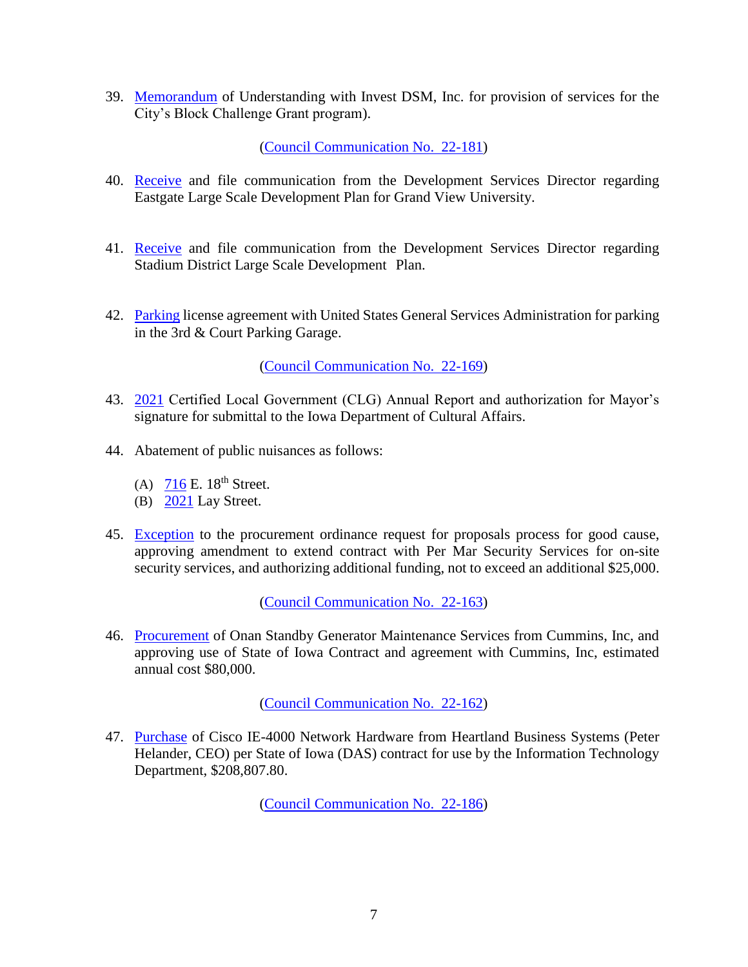39. [Memorandum](http://www.dmgov.org/government/CityCouncil/Resolutions/20220418/39.pdf) of Understanding with Invest DSM, Inc. for provision of services for the City's Block Challenge Grant program).

[\(Council Communication No. 22-181\)](http://www.dmgov.org/Government/CityCouncil/Communications/22-181.pdf)

- 40. [Receive](http://www.dmgov.org/government/CityCouncil/Resolutions/20220418/40.pdf) and file communication from the Development Services Director regarding Eastgate Large Scale Development Plan for Grand View University.
- 41. [Receive](http://www.dmgov.org/government/CityCouncil/Resolutions/20220418/41.pdf) and file communication from the Development Services Director regarding Stadium District Large Scale Development Plan.
- 42. [Parking](http://www.dmgov.org/government/CityCouncil/Resolutions/20220418/42.pdf) license agreement with United States General Services Administration for parking in the 3rd & Court Parking Garage.

[\(Council Communication No. 22-169\)](http://www.dmgov.org/Government/CityCouncil/Communications/22-169.pdf)

- 43. [2021](http://www.dmgov.org/government/CityCouncil/Resolutions/20220418/43.pdf) Certified Local Government (CLG) Annual Report and authorization for Mayor's signature for submittal to the Iowa Department of Cultural Affairs.
- 44. Abatement of public nuisances as follows:
	- (A)  $716$  E.  $18<sup>th</sup>$  Street.
	- (B) [2021](http://www.dmgov.org/government/CityCouncil/Resolutions/20220418/44b.pdf) Lay Street.
- 45. [Exception](http://www.dmgov.org/government/CityCouncil/Resolutions/20220418/45.pdf) to the procurement ordinance request for proposals process for good cause, approving amendment to extend contract with Per Mar Security Services for on-site security services, and authorizing additional funding, not to exceed an additional \$25,000.

[\(Council Communication No. 22-163\)](http://www.dmgov.org/Government/CityCouncil/Communications/22-163.pdf)

46. [Procurement](http://www.dmgov.org/government/CityCouncil/Resolutions/20220418/46.pdf) of Onan Standby Generator Maintenance Services from Cummins, Inc, and approving use of State of Iowa Contract and agreement with Cummins, Inc, estimated annual cost \$80,000.

[\(Council Communication No. 22-162\)](http://www.dmgov.org/Government/CityCouncil/Communications/22-162.pdf)

47. [Purchase](http://www.dmgov.org/government/CityCouncil/Resolutions/20220418/47.pdf) of Cisco IE-4000 Network Hardware from Heartland Business Systems (Peter Helander, CEO) per State of Iowa (DAS) contract for use by the Information Technology Department, \$208,807.80.

[\(Council Communication No. 22-186\)](http://www.dmgov.org/Government/CityCouncil/Communications/22-186.pdf)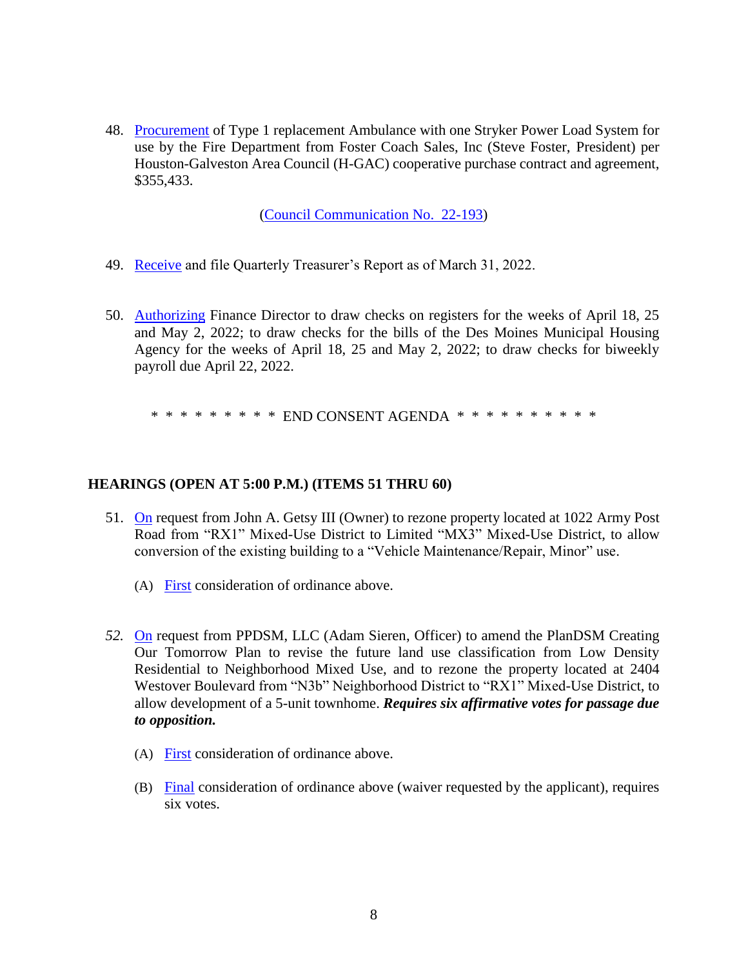48. [Procurement](http://www.dmgov.org/government/CityCouncil/Resolutions/20220418/48.pdf) of Type 1 replacement Ambulance with one Stryker Power Load System for use by the Fire Department from Foster Coach Sales, Inc (Steve Foster, President) per Houston-Galveston Area Council (H-GAC) cooperative purchase contract and agreement, \$355,433.

[\(Council Communication No. 22-193\)](http://www.dmgov.org/Government/CityCouncil/Communications/22-193.pdf)

- 49. [Receive](http://www.dmgov.org/government/CityCouncil/Resolutions/20220418/49.pdf) and file Quarterly Treasurer's Report as of March 31, 2022.
- 50. [Authorizing](http://www.dmgov.org/government/CityCouncil/Resolutions/20220418/50.pdf) Finance Director to draw checks on registers for the weeks of April 18, 25 and May 2, 2022; to draw checks for the bills of the Des Moines Municipal Housing Agency for the weeks of April 18, 25 and May 2, 2022; to draw checks for biweekly payroll due April 22, 2022.

\* \* \* \* \* \* \* \* \* END CONSENT AGENDA \* \* \* \* \* \* \* \* \* \* \*

#### **HEARINGS (OPEN AT 5:00 P.M.) (ITEMS 51 THRU 60)**

- 51. [On](http://www.dmgov.org/government/CityCouncil/Resolutions/20220418/51.pdf) request from John A. Getsy III (Owner) to rezone property located at 1022 Army Post Road from "RX1" Mixed-Use District to Limited "MX3" Mixed-Use District, to allow conversion of the existing building to a "Vehicle Maintenance/Repair, Minor" use.
	- (A) [First](http://www.dmgov.org/government/CityCouncil/Resolutions/20220418/51a.pdf) consideration of ordinance above.
- *52.* [On](http://www.dmgov.org/government/CityCouncil/Resolutions/20220418/52.pdf) request from PPDSM, LLC (Adam Sieren, Officer) to amend the PlanDSM Creating Our Tomorrow Plan to revise the future land use classification from Low Density Residential to Neighborhood Mixed Use, and to rezone the property located at 2404 Westover Boulevard from "N3b" Neighborhood District to "RX1" Mixed-Use District, to allow development of a 5-unit townhome. *Requires six affirmative votes for passage due to opposition.*
	- (A) [First](http://www.dmgov.org/government/CityCouncil/Resolutions/20220418/52a.pdf) consideration of ordinance above.
	- (B) [Final](http://www.dmgov.org/government/CityCouncil/Resolutions/20220418/52b.pdf) consideration of ordinance above (waiver requested by the applicant), requires six votes.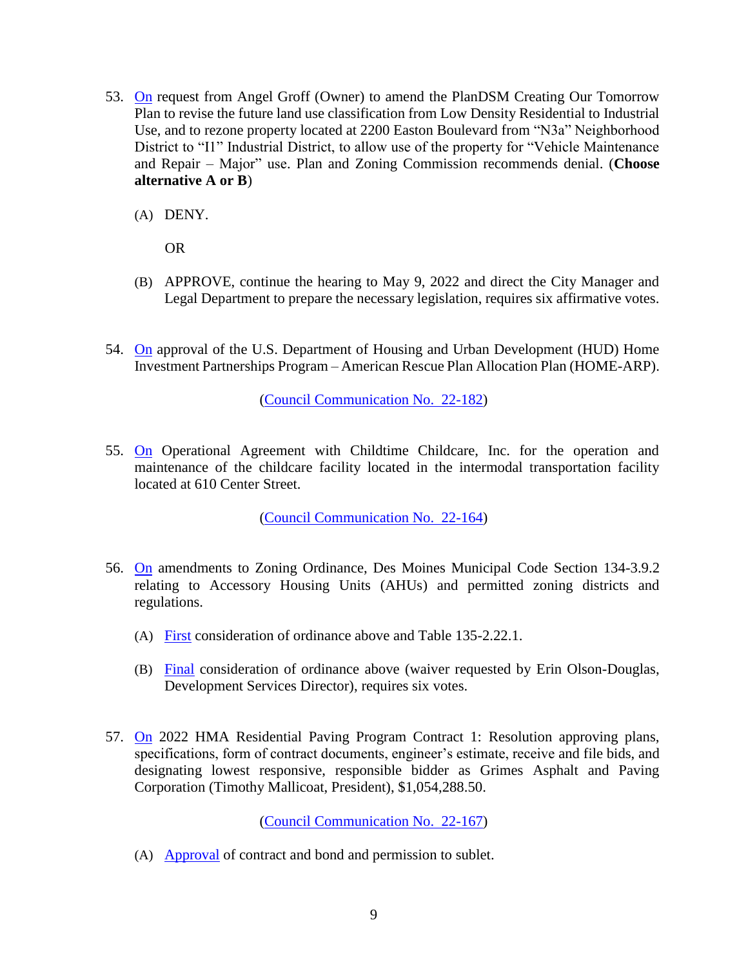- 53. [On](http://www.dmgov.org/government/CityCouncil/Resolutions/20220418/53.pdf) request from Angel Groff (Owner) to amend the PlanDSM Creating Our Tomorrow Plan to revise the future land use classification from Low Density Residential to Industrial Use, and to rezone property located at 2200 Easton Boulevard from "N3a" Neighborhood District to "I1" Industrial District, to allow use of the property for "Vehicle Maintenance and Repair – Major" use. Plan and Zoning Commission recommends denial. (**Choose alternative A or B**)
	- (A) DENY.

OR

- (B) APPROVE, continue the hearing to May 9, 2022 and direct the City Manager and Legal Department to prepare the necessary legislation, requires six affirmative votes.
- 54. [On](http://www.dmgov.org/government/CityCouncil/Resolutions/20220418/54.pdf) approval of the U.S. Department of Housing and Urban Development (HUD) Home Investment Partnerships Program – American Rescue Plan Allocation Plan (HOME-ARP).

[\(Council Communication No. 22-182\)](http://www.dmgov.org/Government/CityCouncil/Communications/22-182.pdf)

55. [On](http://www.dmgov.org/government/CityCouncil/Resolutions/20220418/55.pdf) Operational Agreement with Childtime Childcare, Inc. for the operation and maintenance of the childcare facility located in the intermodal transportation facility located at 610 Center Street.

[\(Council Communication No. 22-164\)](http://www.dmgov.org/Government/CityCouncil/Communications/22-164.pdf)

- 56. [On](http://www.dmgov.org/government/CityCouncil/Resolutions/20220418/56.pdf) amendments to Zoning Ordinance, Des Moines Municipal Code Section 134-3.9.2 relating to Accessory Housing Units (AHUs) and permitted zoning districts and regulations.
	- (A) [First](http://www.dmgov.org/government/CityCouncil/Resolutions/20220418/56a.pdf) consideration of ordinance above and Table 135-2.22.1.
	- (B) [Final](http://www.dmgov.org/government/CityCouncil/Resolutions/20220418/56b.pdf) consideration of ordinance above (waiver requested by Erin Olson-Douglas, Development Services Director), requires six votes.
- 57. [On](http://www.dmgov.org/government/CityCouncil/Resolutions/20220418/57.pdf) 2022 HMA Residential Paving Program Contract 1: Resolution approving plans, specifications, form of contract documents, engineer's estimate, receive and file bids, and designating lowest responsive, responsible bidder as Grimes Asphalt and Paving Corporation (Timothy Mallicoat, President), \$1,054,288.50.

[\(Council Communication No. 22-167\)](http://www.dmgov.org/Government/CityCouncil/Communications/22-167.pdf)

(A) [Approval](http://www.dmgov.org/government/CityCouncil/Resolutions/20220418/57a.pdf) of contract and bond and permission to sublet.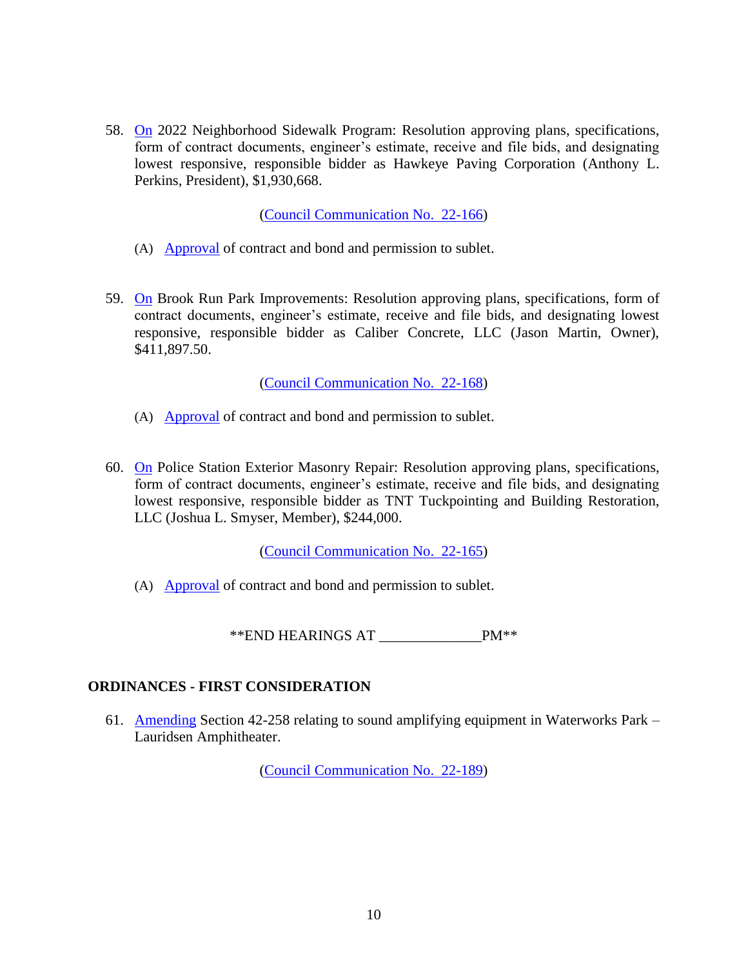58. [On](http://www.dmgov.org/government/CityCouncil/Resolutions/20220418/58.pdf) 2022 Neighborhood Sidewalk Program: Resolution approving plans, specifications, form of contract documents, engineer's estimate, receive and file bids, and designating lowest responsive, responsible bidder as Hawkeye Paving Corporation (Anthony L. Perkins, President), \$1,930,668.

[\(Council Communication No. 22-166\)](http://www.dmgov.org/Government/CityCouncil/Communications/22-166.pdf)

- (A) [Approval](http://www.dmgov.org/government/CityCouncil/Resolutions/20220418/58a.pdf) of contract and bond and permission to sublet.
- 59. [On](http://www.dmgov.org/government/CityCouncil/Resolutions/20220418/59.pdf) Brook Run Park Improvements: Resolution approving plans, specifications, form of contract documents, engineer's estimate, receive and file bids, and designating lowest responsive, responsible bidder as Caliber Concrete, LLC (Jason Martin, Owner), \$411,897.50.

[\(Council Communication](http://www.dmgov.org/Government/CityCouncil/Communications/22-168.pdf) No. 22-168)

- (A) [Approval](http://www.dmgov.org/government/CityCouncil/Resolutions/20220418/59a.pdf) of contract and bond and permission to sublet.
- 60. [On](http://www.dmgov.org/government/CityCouncil/Resolutions/20220418/60.pdf) Police Station Exterior Masonry Repair: Resolution approving plans, specifications, form of contract documents, engineer's estimate, receive and file bids, and designating lowest responsive, responsible bidder as TNT Tuckpointing and Building Restoration, LLC (Joshua L. Smyser, Member), \$244,000.

[\(Council Communication No. 22-165\)](http://www.dmgov.org/Government/CityCouncil/Communications/22-165.pdf)

(A) [Approval](http://www.dmgov.org/government/CityCouncil/Resolutions/20220418/60a.pdf) of contract and bond and permission to sublet.

\*\*END HEARINGS AT \_\_\_\_\_\_\_\_\_\_\_\_\_\_PM\*\*

### **ORDINANCES - FIRST CONSIDERATION**

61. [Amending](http://www.dmgov.org/government/CityCouncil/Resolutions/20220418/61.pdf) Section 42-258 relating to sound amplifying equipment in Waterworks Park – Lauridsen Amphitheater.

[\(Council Communication No. 22-189\)](http://www.dmgov.org/Government/CityCouncil/Communications/22-189.pdf)